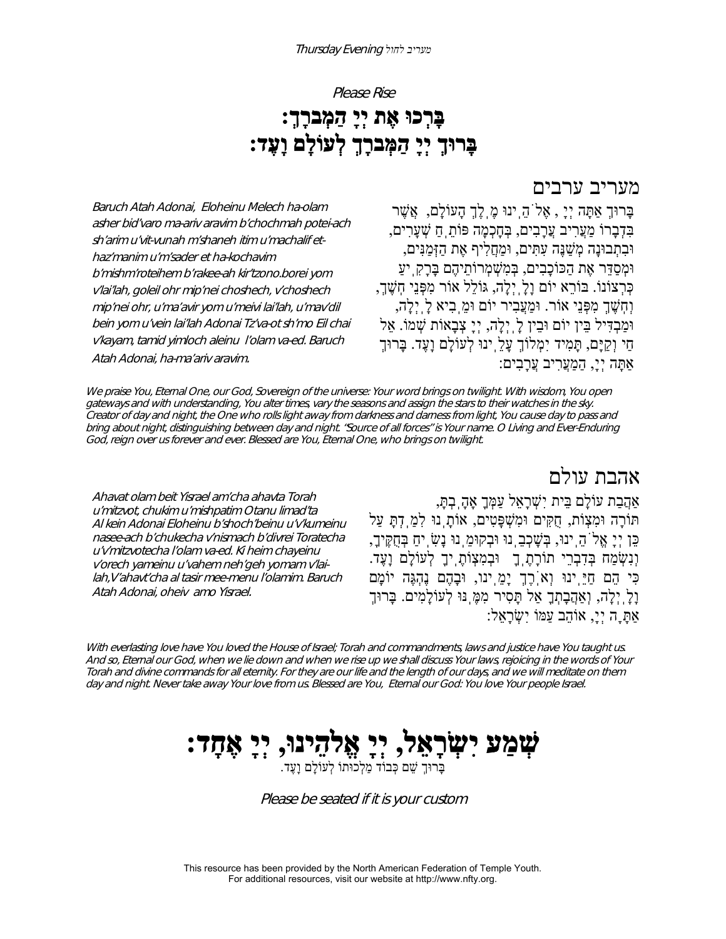#### Please Rise

# **בָּרְכוּ אֶת יְיָ הַמְברָך:ְ בָּרוּךְ יְיָ הַמְּברָךְ לְעוֹלָם וָעֶד:**

#### מעריב ערבים

Baruch Atah Adonai, Eloheinu Melech ha-olam asher bid'varo ma-ariv aravim b'chochmah potei-ach sh'arim u'vit-vunah m'shaneh itim u'machalif ethaz'manim u'm'sader et ha-kochavim b'mishm'roteihem b'rakee-ah kir'tzono.borei yom v'lai'lah, goleil ohr mip'nei choshech, v'choshech mip'nei ohr, u'ma'avir yom u'meivi lai'lah, u'mav'dil bein yom u'vein lai'lah Adonai Tz'va-ot sh'mo Eil chai v'kayam, tamid yimloch aleinu l'olam va-ed. Baruch Atah Adonai, ha-ma'ariv aravim.

בָּרוּךְ אַתָּה יְיָ , אֶלֹהֵֽינוּ מֶֽלֶךְ הָעוֹלָם, אֲשֶׁ ר בִּדְבָרוֹ מַעֲרִיב עֲרָבִים, בְּחָכְמָה פּוֹתֵֽחַ שְׁ עָרִים, וּבִתְבוּנָה מְשַׁ נֶּה עִתִּים, וּמַחֲלִיף אֶת הַזְּמַנִּים, וּמְסַדֵּר אֶת הַכּוֹכָבִים, בְּמִשְׁ מְרוֹתֵיהֶם בָּרָקִֽיעַ כְּרְצוֹנוֹ. בּוֹרֵא יוֹם וָלָֽיְלָה, גּוֹלֵל אוֹר מִפְּנֵי חֽשֶׁ ך,ְ וְחֽשֶׁ ךְ מִפְּנֵי אוֹר. וּמַעֲבִיר יוֹם וּמֵֽבִיא לָֽיְלָה, וּמַבְדִּיל בֵּין יוֹם וּבִין לַׂיְיָלֵה, יְיָ צְבָאוֹת שָׁמוֹ. אֵל חַי וְקַיָּם, תָּמִיד יִמְלוֹךְ עָלֵֽינוּ לְעוֹלָם וָעֶד. בָּרוּךְ אַתָּה יְי,ָ הַמַעֲרִיב עֲרָבִים:

We praise You, Eternal One, our God, Sovereign of the universe: Your word brings on twilight. With wisdom, You open gateways and with understanding, You alter times, vary the seasons and assign the stars to their watches in the sky. Creator of day and night, the One who rolls light away from darkness and darness from light, You cause day to pass and bring about night, distinguishing between day and night. "Source of all forces" is Your name. O Living and Ever-Enduring God, reign over us forever and ever. Blessed are You, Eternal One, who brings on twilight.

אהבת עולם

Ahavat olam beit Yisrael am'cha ahavta Torah <sup>u</sup>'mitzvot, chukim u'mishpatim Otanu limad'ta Al kein Adonai Eloheinu b'shoch'beinu u'v'kumeinu nasee-ach b'chukecha v'nismach b'divrei Toratecha <sup>u</sup>'v'mitzvotecha l'olam va-ed. Ki heim chayeinu v'orech yameinu u'vahem neh'geh yomam v'lailah,V'ahavt'cha al tasir mee-menu l'olamim. Baruch Atah Adonai, oheiv amo Yisrael.

#### אַהֲבַת עוֹלָם בֵּית יִשְׁ רָאֵל עַמְּךָ אָהָֽבְתּ,ָ תּוֹרָה וּמִצְוֹת, חֻקִּים וּמִשְׁ פָּטִים, אוֹתָֽנוּ לִמַֽדְתָּ עַל כֵּן יְיָ אֱלֹהֵֽינוּ, בְּשָׁ כְבֵֽנוּ וּבְקוּמֵֽנוּ נָשִׂ ֽיחַ בְּחֻקֶּיך,ָ וְנִשְׂ מַח בְּדִבְרֵי תוֹרָתֶֽךָ וּבְמִצְוֹתֶֽיךָ לְעוֹלָם וָעֶד. כִּי הֵם חַיֵּֽינוּ וְאֹֽרֶךְ יָמֵֽינו, וּבָהֶם נֶהְגֶּה יוֹמָם וָלָֽיְלָה, וְאַהֲבָתְךָ אַל תָּסִיר מִמֶּֽנּוּ לְעוֹלָמִים. בָּרוּךְ אַתָָּה יְי,ָ אוֹהֵב עַמּוֹ יִשְׂ רָאֵל:

With everlasting love have You loved the House of Israel; Torah and commandments, laws and justice have You taught us. And so, Eternal our God, when we lie down and when we rise up we shall discuss Your laws, rejoicing in the words of Your Torah and divine commands for all eternity. For they are our life and the length of our days, and we will meditate on them day and night. Never take away Your love from us. Blessed are You, Eternal our God: You love Your people Israel.

# **ֹּעְזַמֲעַ יִּעְזָרְאֵל, יְיָ אֱלְהֵינוּ, יְיָ אֶחָד:**<br>בְּרוּךְ שֵׁם כְּבוֹד מֵלְכוּתוֹ לְעוֹלָם וַעֵּד.

Please be seated if it is your custom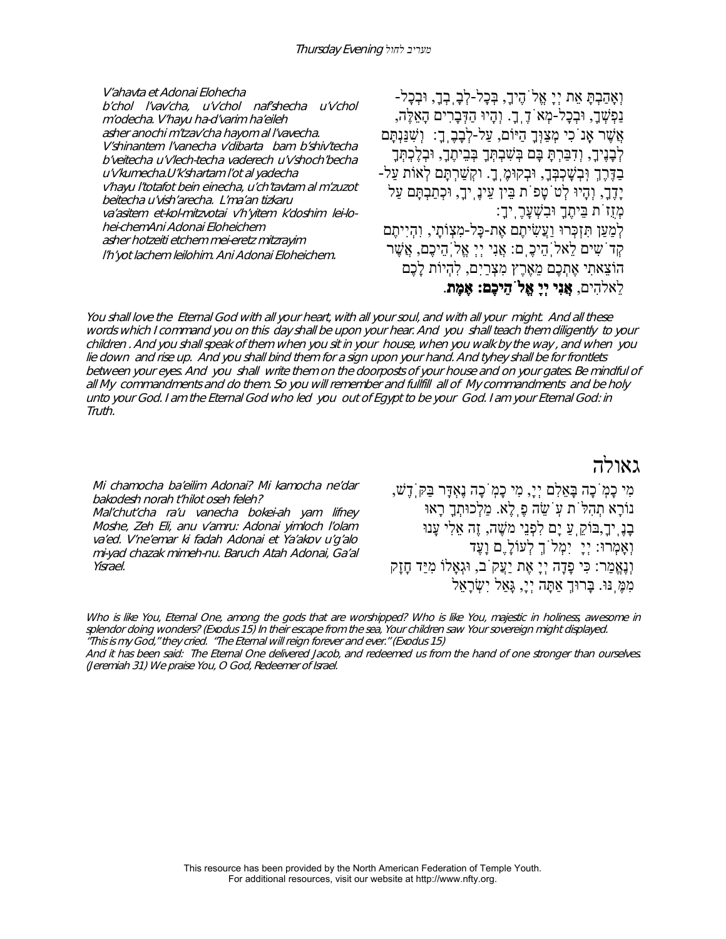V'ahavta et Adonai Elohecha b'chol l'vav'cha, u'v'chol naf'shecha u'v'chol m'odecha. V'hayu ha-d'varim ha'eileh asher anochi m'tzav'cha hayom al l'vavecha. V'shinantem l'vanecha v'dibarta bam b'shiv'techa b'veitecha u'v'lech-techa vaderech u'v'shoch'becha <sup>u</sup>'v'kumecha.U'k'shartam l'ot al yadecha v'hayu l'totafot bein einecha, u'ch'tavtam al m'zuzot beitecha u'vish'arecha. L'ma'an tizkaru va'asitem et-kol-mitzvotai v'h'yitem k'doshim lei-lohei-chemAni Adonai Eloheichem asher hotzeiti etchem mei-eretz mitzrayim l'h'yot lachem leilohim. Ani Adonai Eloheichem.

וְאָהַבְתָּ אֵת יְיָ אֱלֹהֶיך,ָ בְּכָל-לְבָֽבְך,ָ וּבְכָל- נַפְשְׁ ך,ָ וּבְכָל-מְאֹדֶֽך.ָ וְהָיוּ הַדְּבָרִים הָאֵלֶּה, אֲשֶׁ ר אָֽנֹכִי מְצַוְּךָ הַיּוֹם, עַל-לְבָבֶֽך:ָ וְשִׁ נַּנְתָּם לְבָנֶיךָ, וְדִבַּרְתָּ בָּם בְּשִׁבְתְּךָ בְּבֵיתֶךָ, וּבְלֶכְתְּךָ בַדֶּרֶךְ וִּבְשָׁכְבְּךָ, וּבְקוּמֶ,ךָ. וקְשַׁרְתָּם לְאוֹת עַל-יָדֶך,ָ וְהָיוּ לְטֹטָפֹת בֵּין עֵינֶֽיך,ָ וּכְתַבְתָּם עַל מְזֻזֹת בֵּיתֶךָ וּבִשְׁ עָרֶֽיך:ָ לְמַעַן תִּזְכְּרוּ וַעֲשִׂ יתֶם אֶת-כָּל-מִצְוֹתָי, וִהְיִיתֶם קְדֹשִ ים לֵאלֹֽהֵיכֶֽם: אֲנִי יְיְ אֱלֹֽהֵיכֶם, אֲשֶׁ ר הוֹצֵאתִי אֶתְכֶם מֵאֶרֶץ מִצְרַיִם, לִהְיוֹת לָכֶם לֵאלהִים, **אֲנִי יְיָ אֱלֹהֵיכֶם: אֶמֶת**.

You shall love the Eternal God with all your heart, with all your soul, and with all your might. And all these words which I command you on this day shall be upon your hear. And you shall teach them diligently to your children . And you shall speak of them when you sit in your house, when you walk by the way , and when you lie down and rise up. And you shall bind them for a sign upon your hand. And tyhey shall be for frontlets between your eyes. And you shall write them on the doorposts of your house and on your gates. Be mindful of all My commandments and do them. So you will remember and fullfill all of My commandments and be holy unto your God. I am the Eternal God who led you out of Egypt to be your God. I am your Eternal God: in Truth.

Mi chamocha ba'eilim Adonai? Mi kamocha ne'dar bakodesh norah t'hilot oseh feleh?

Mal'chut'cha ra'u vanecha bokei-ah yam lifney Moshe, Zeh Eli, anu v'amru: Adonai yimloch l'olam va'ed. V'ne'emar ki fadah Adonai et Ya'akov u'g'alo mi-yad chazak mimeh-nu. Baruch Atah Adonai, Ga'al Yisrael.

גאולה

מִי כָמֹֽכָה בָּאֵלִם יְי,ָ מִי כָמֹֽכָה נֶאְדָּר בַּקֹּֽדֶשׁ, נוֹרָא תְהִלֹּת עֹֽשֵׂ ה פֶֽלֶא. מַלְכוּתְךָ רָאוּ ּבָנֶ יִךָ,בּוֹקֵ עַ יַם לִפְנֵי משֵׁה, זֶה אֵלִי עַנוּ וְאָמְרוּ: יְיָ יִמְלֹךְ לְעוֹלֶָם וָעֶד וְנֶאֱמַר: כִּי פָדָה יְיָ אֶת יַעֲקֹב, וּגְאָלוֹ מִיַּד חָזָק מִמֶּ נּוּ. בָּרוּךְ אַתָּה יְיָ, גָּאַל יְשָׂרָאֵל

Who is like You, Eternal One, among the gods that are worshipped? Who is like You, majestic in holiness, awesome in splendor doing wonders? (Exodus 15) In their escape from the sea, Your children saw Your sovereign might displayed. "This is my God," they cried. "The Eternal will reign forever and ever." (Exodus 15)

And it has been said: The Eternal One delivered Jacob, and redeemed us from the hand of one stronger than ourselves. (Jeremiah 31) We praise You, O God, Redeemer of Israel.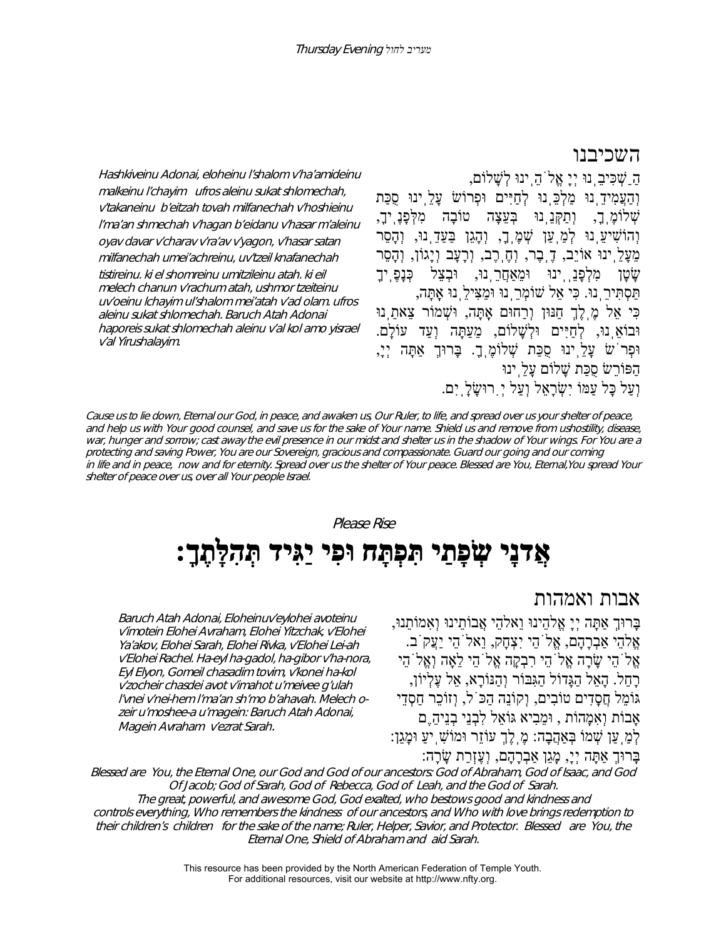#### השכיבנו

Hashkiveinu Adonai, eloheinu l'shalom v'ha'amideinu malkeinu l'chayim ufros aleinu sukat shlomechah, v'takaneinu b'eitzah tovah milfanechah v'hoshieinu l'ma'an shmechah v'hagan b'eidanu v'hasar m'aleinu oyav davar v'charav v'ra'av v'yagon, v'hasar satan milfanechah umei'achreinu, uv'tzeil knafanechah tistireinu. ki el shomreinu umitzileinu atah. ki eil melech chanun v'rachum atah, ushmor tzeiteinu uv'oeinu lchayim ul'shalom mei'atah v'ad olam. ufros aleinu sukat shlomechah. Baruch Atah Adonai haporeis sukat shlomechah aleinu v'al kol amo yisrael v'al Yirushalayim.

הַַשְׁ כִּיבֵֽנוּ יְיָ אֱלֹהֵֽינוּ לְשָׁ לוֹם, וְהַעֲמִידֵֽנוּ מַלְכֵּֽנוּ לְחַיִּים וּפְרוֹשׂ עָלֵֽינוּ סֻכַּת שְׁ לוֹמֶֽך,ָ וְתַקְּנֵֽנוּ בְּעֵצָה טוֹבָה מִלְּפָנֶֽיך,ָ וְהוֹשִׁיעֵ<sub>ּו</sub>נוּ לְמַ<sup>ְ</sup>עַן שְׁמֶ<sub>ּ</sub>ךָ, וְהָגֵן בַּעַדֵּ נוּ, וְהָסֵר מֵעָלֵֽינוּ אוֹיֵב, דֶֽבֶר, וְחֶֽרֶב, וְרָעָב וְיָגוֹן, וְהָסֵר שִׂטַן מִלְפַנַֻּיִּנוּ וּמִאַחֲרֻנוּ, וּבְצַל כְּנַפֶּ יִךָ תַּסְתִּירֵֽנוּ. כִּי אֵל שׁוֹמְרֵֽנוּ וּמַצִּילֵֽנוּ אָֽתָּה, כִּי אֵל מֶֽלֶךְ חַנּוּן וְרַחוּם אָֽתָּה, וּשְׁ מוֹר צֵאתֵֽנוּ וּבוֹאֵ נוּ, לְחַיִּים וּלְשָׁלוֹם, מֵעַתָּה וְעַד עוֹלָם. וּפְרֹשׂ עָלֵֽינוּ סֻכַּת שְׁ לוֹמֶֽך.ָ בָּרוּךְ אַתָּה יְי,ָ הַפּוֹרֵשׂ סֻכַּת שָׁ לוֹם עָלֵֽינוּ וְעַל כָּל עַמּוֹ יִשְׂרָאֵל וְעַל יִ רוּשֵׂלַ יִם.

Cause us to lie down, Eternal our God, in peace, and awaken us, Our Ruler, to life, and spread over us your shelter of peace, and help us with Your good counsel, and save us for the sake of Your name. Shield us and remove from ushostility, disease, war, hunger and sorrow; cast away the evil presence in our midst and shelter us in the shadow of Your wings. For You are a protecting and saving Power, You are our Sovereign, gracious and compassionate. Guard our going and our coming in life and in peace, now and for eternity. Spread over us the shelter of Your peace. Blessed are You, Eternal,You spread Your shelter of peace over us, over all Your people Israel.

Please Rise

# **אֲדנָי שְׂ פָתַי תִּפְתָּח וּפִי יַגִּיד תְּהִלָּתֶך:ָ**

Baruch Atah Adonai, Eloheinuv'eylohei avoteinu v'imotein Elohei Avraham, Elohei Yitzchak, v'Elohei Ya'akov, Elohei Sarah, Elohei Rivka, v'Elohei Lei-ah v'Elohei Rachel. Ha-eyl ha-gadol, ha-gibor v'ha-nora, Eyl Elyon, Gomeil chasadim tovim, v'konei ha-kol v'zocheir chasdei avot v'imahot u'meivee g'ulah l'vnei v'nei-hem l'ma'an sh'mo b'ahavah. Melech ozeir u'moshee-a u'magein: Baruch Atah Adonai, Magein Avraham v'ezrat Sarah.

#### אבות ואמהות

בָּרוּךְ אַתָּה יְיָ אֱלהֵינוּ וֵאלהֵי אֲבוֹתֵינוּ וְאִמוֹתֵנוּ, אֱלהֵי אַבְרָהָם, אֱלֹהֵי יִצְחָק, וֵאלֹהֵי יַעֲקֹב.  $\gamma$ אֶלֹהֵי שֲׂרָה אֱלֹהֵי רִבְקָה אֱלֹהֵי לֹאָה וְאֱלֹהִי רָחֵל. הָאֵל הַגָּדוֹל הַגִּבּוֹר וְהַנּוֹרָא, אֵל עֶלְיוֹן, גּוֹמֵל חֲסָדִים טוֹבִים, וְקוֹנֵה הַכֹּל, וְזוֹכֵר חַסְדֵי אָבוֹת וְאִמָהוֹת , וּמֵבִיא גּוֹאֵל לִבְנֵי בְנֵיהֵֶם לְמַֽעַן שְׁ מוֹ בְּאַהֲבָה: מֶֽלֶךְ עוֹזֵר וּמוֹשִׁ ֽיעַ וּמָגֵן: בָּרוּךְ אַתָּה יְי,ָ מָגֵן אַבְרָהָם, וְעֶזְרַת שָׂ רָה:

Blessed are You, the Eternal One, our God and God of our ancestors: God of Abraham, God of Isaac, and God Of Jacob; God of Sarah, God of Rebecca, God of Leah, and the God of Sarah. The great, powerful, and awesome God, God exalted, who bestows good and kindness and controls everything, Who remembers the kindness of our ancestors, and Who with love brings redemption to their children's children for the sake of the name; Ruler, Helper, Savior, and Protector. Blessed are You, the Eternal One, Shield of Abraham and aid Sarah.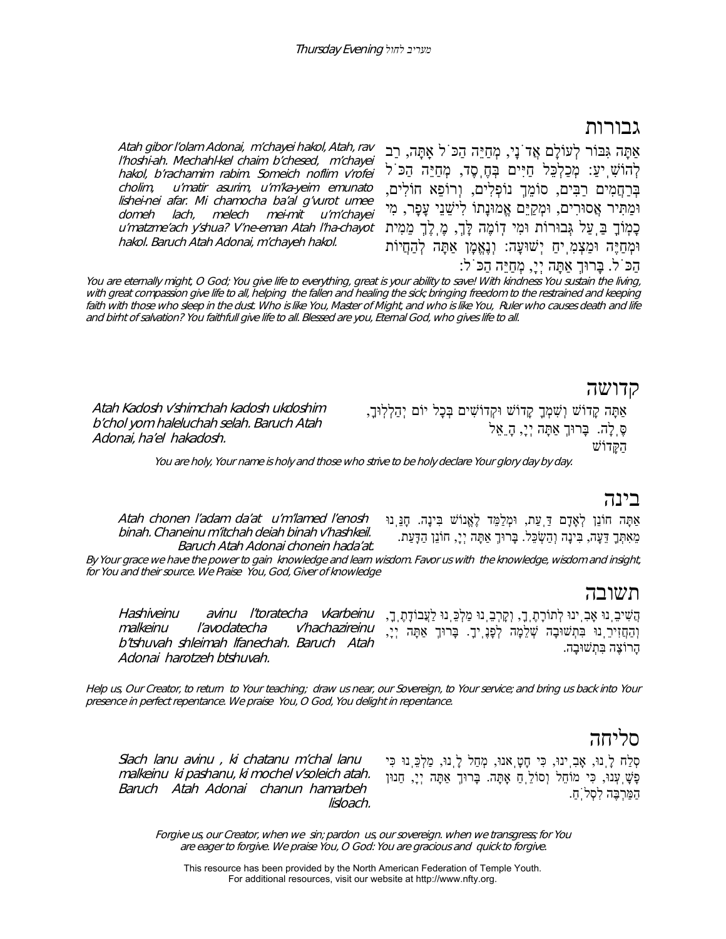#### גבורות

Atah gibor l'olam Adonai, m'chayei hakol, Atah, rav l'hoshi-ah. Mechahl-kel chaim b'chesed, m'chayei hakol, b'rachamim rabim. Someich noflim v'rofei cholim, u'matir asurim, u'm'ka-yeim emunato lishei-nei afar. Mi chamocha ba'al g'vurot umee domeh lach, melech mei-mit u'm'chayei <sup>u</sup>'matzme'ach y'shua? V'ne-eman Atah l'ha-chayot hakol. Baruch Atah Adonai, m'chayeh hakol.

אַתָּה גִּבּוֹר לְעוֹלָם אֲדֹנָי, מְחַיֵּה הַכֹּל אַֽתָּה, רַב לְהוֹשִׁ ֽיע:ַ מְכַלְכֵּל חַיִּים בְּחֶֽסֶד, מְחַיֵּה הַכֹּל בְּרַחֲמִים רַבִּים, סוֹמֵךְ נוֹפְלִים, וְרוֹפֵא חוֹלִים, וּמַתִּיר אֲסוּרִים, וּמְקַיֵּם אֱמוּנָתוֹ לִישֵׁ נֵי עָפָר, מִי כָמֽוֹךָ בַּֽעַל גְּבוּרוֹת וּמִי דֽוֹמֶה לָּך,ְ מֶֽלֶךְ מֵמִית וּמְחַיֶּה וּמַצְמִֽיחַ יְשׁוּעָה: וְנֶאֱמָן אַתָּה לְהַחֲיוֹת הַכֹּל. בָּרוּךְ אַתָּה יְי,ָ מְחַיֵּה הַכֹּל:

You are eternally might, O God; You give life to everything, great is your ability to save! With kindness You sustain the living, with great compassion give life to all, helping the fallen and healing the sick; bringing freedom to the restrained and keeping faith with those who sleep in the dust. Who is like You, Master of Might, and who is like You, Ruler who causes death and life and birht of salvation? You faithfull give life to all. Blessed are you, Eternal God, who gives life to all.

#### קדושה

Atah Kadosh v'shimchah kadosh ukdoshim b'chol yom haleluchah selah. Baruch Atah Adonai, ha'el hakadosh.

אַתָּה קָדוֹשׁ וְשִׁ מְךָ קָדוֹשׁ וּקְדוֹשִׁ ים בְּכָל יוֹם יְהַלְלֽוּך,ָ סֶּֽלָה. בָּרוּךְ אַתָּה יְי,ָ הֵָאֵל הַקָּדוֹשׁ

You are holy, Your name is holy and those who strive to be holy declare Your glory day by day.

#### בינה

Atah chonen l'adam da'at u'm'lamed l'enosh binah. Chaneinu m'itchah deiah binah v'hashkeil. Baruch Atah Adonai chonein hada'at. אַתָּה חוֹנֵן לְאָדָם דַּֽעַת, וּמְלַמֵּד לֶאֱנוֹשׁ בִּינָה. חָנֵּֽנוּ מֵאִתְּךָ דֵּעָה, בִּינָה וְהַשְׂ כֵּל. בָּרוּךְ אַתָּה יְי,ָ חוֹנֵן הַדָּעַת.

By Your grace we have the power to gain knowledge and learn wisdom. Favor us with the knowledge, wisdom and insight, for You and their source. We Praise You, God, Giver of knowledge

#### תשובה

Hashiveinu avinu l'toratecha vkarbeinu malkeinu l'avodatecha v'hachazireinu b'tshuvah shleimah lfanechah. Baruch Atah Adonai harotzeh btshuvah. הֲשִׁ יבֵֽנוּ אָבִֽינוּ לְתוֹרָתֶֽך,ָ וְקָרְבֵֽנוּ מַלְכֵּֽנוּ לַעֲבוֹדָתֶֽך,ָ וְהַחֲזִירֵֽנוּ בִּתְשׁוּבָה שְׁ לֵמָה לְפָנֶֽיך.ָ בָּרוּךְ אַתָּה יְי,ָ הרוֹצֵה בַּתְשׁוּבֵה.

Help us, Our Creator, to return to Your teaching; draw us near, our Sovereign, to Your service; and bring us back into Your presence in perfect repentance. We praise You, O God, You delight in repentance.

### סליחה

Slach lanu avinu , ki chatanu m'chal lanu malkeinu ki pashanu, ki mochel v'soleich atah. Baruch Atah Adonai chanun hamarbeh lisloach.

סְלַח לָֽנוּ, אָבִֽינוּ, כִּי חָטָֽאנוּ, מְחַל לָֽנוּ, מַלְכֵּֽנוּ כִּי פָשָׁ ֽעְנוּ, כִּי מוֹחֵל וְסוֹלֵֽחַ אָֽתָּה. בָּרוּךְ אַתָּה יְי,ָ חַנוּן הַמַּרְבֶּה לִסְלֹֽח.ַ

Forgive us, our Creator, when we sin; pardon us, our sovereign. when we transgress; for You are eager to forgive. We praise You, O God: You are gracious and quick to forgive.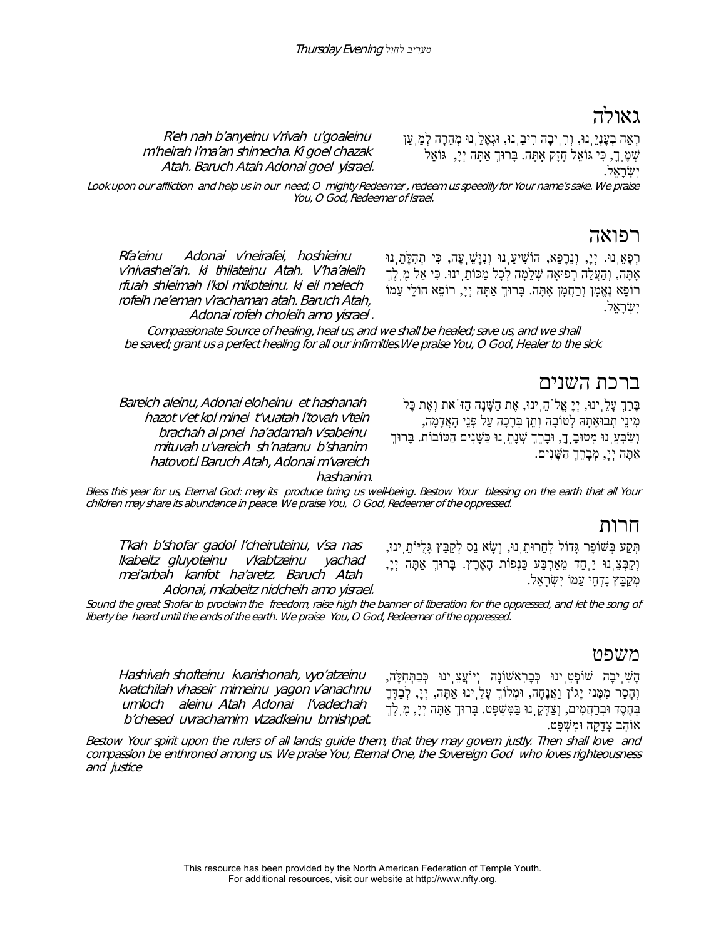## גאולז

R'eh nah b'anyeinu v'rivah u'goaleinu m'heirah l'ma'an shimecha. Ki goel chazak Atah. Baruch Atah Adonai goel yisrael. רְאֵה בְעָנְיֵֽנוּ, וְרִֽיבָה רִיבֵֽנוּ, וּגְאָלֵֽנוּ מְהֵרָה לְמַֽעַן שְׁ מֶֽך,ָ כִּי גּוֹאֵל חָזָק אָֽתָּה. בָּרוּךְ אַתָּה יְי,ָ גּוֹאֵל יִשְׂ רָאֵל.

Look upon our affliction and help us in our need; O mighty Redeemer , redeem us speedily for Your name's sake. We praise You, O God, Redeemer of Israel.

#### רפואה

Rfa'einu Adonai v'neirafei, hoshieinu v'nivashei'ah. ki thilateinu Atah. V'ha'aleih rfuah shleimah l'kol mikoteinu. ki eil melech rofeih ne'eman v'rachaman atah. Baruch Atah, Adonai rofeh choleih amo yisrael .

Bareich aleinu, Adonai eloheinu et hashanah hazot v'et kol minei t'vuatah l'tovah v'tein brachah al pnei ha'adamah v'sabeinu mituvah u'vareich sh'natanu b'shanim hatovot.l Baruch Atah, Adonai m'vareich רְפָאֵֽנוּ. יְי,ָ וְנֵרָפֵא, הוֹשִׁ יעֵֽנוּ וְנִוָּשֵׁ ֽעָה, כִּי תְהִלָּתֵֽנוּ אָתָּה, וְהַעֲלֵה רְפוּאָה שָׁלֵמַה לְכָל מַכּוֹתֵ ינוּ. כִּי אֵל מֵ לֵךְ רוֹפֵא נֶאֱמָן וְרַחֲמָן אָתָּה. בָּרוּךְ אַתָּה יְי,ָ רוֹפֵא חוֹלֵי עַמוֹ יִשְׂ רָאֵל.

Compassionate Source of healing, heal us, and we shall be healed; save us, and we shall be saved; grant us a perfect healing for all our infirmities.We praise You, O God, Healer to the sick.

#### ברכת השנים

בָּרֵךְ עָלֵֽינוּ, יְיָ אֱלֹהֵֽינוּ, אֶת הַשָּׁ נָה הַזֹּאת וְאֶת כָּל מִינֵי תְבוּאָתָהּ לְטוֹבָה וְתֵן בְּרָכָה עַל פְּנֵי הָאֲדָמָה, וְשַׁבְּעֵ נוּ מִטוּבָ ךָ, וּבָרֵךְ שְׁנָתַ נוּ כַּשָּׁנִים הַטּוֹבוֹת. בָּרוּךָ אַתָּה יְי,ָ מְבָרֵךְ הַשָּׁ נִים.

Bless this year for us, Eternal God: may its produce bring us well-being. Bestow Your blessing on the earth that all Your children may share its abundance in peace. We praise You, O God, Redeemer of the oppressed.

hashanim.

#### חרות

T'kah b'shofar gadol l'cheiruteinu, v'sa nas lkabeitz gluyoteinu v'kabtzeinu yachad mei'arbah kanfot ha'aretz. Baruch Atah Adonai, mkabeitz nidcheih amo yisrael. תְּקַע בְּשׁוֹפָר גָּדוֹל לְחֵרוּתֵֽנוּ, וְשָׂ א נֵס לְקַבֵּץ גָּלֻיּוֹתֵֽינוּ, וְקַבְּצֵֽנוּ יַֽחַד מֵאַרְבַּע כַּנְפוֹת הָאָֽרֶץ. בָּרוּךְ אַתָּה יְי,ָ מְקַבֵּץ נִדְחֵי עַמוֹ יִשְׂרָאֱל.

Sound the great Shofar to proclaim the freedom, raise high the banner of liberation for the oppressed, and let the song of liberty be heard until the ends of the earth. We praise You, O God, Redeemer of the oppressed.

#### משפט

Hashivah shofteinu kvarishonah, vyo'atzeinu kvatchilah vhaseir mimeinu yagon v'anachnu umloch aleinu Atah Adonai l'vadechah b'chesed uvrachamim vtzadkeinu bmishpat.

הָשִׁ ֽיבָה שׁוֹפְטֵֽינוּ כְּבָרִאשׁוֹנָה וְיוֹעֲצֵֽינוּ כְּבַתְּחִלָּה, וְהָסֵר מִמֶּנוּ יָגוֹן וַאֲנָחָה, וּמְלוֹךְ עָלֵֽינוּ אַתָּה, יְי,ָ לְבַדְּךָ בְּחֶסֶד וּבְרַחֲמִים, וְצַדְּקֵ נוּ בַּמִּשְׁפָּט. בָּרוּךָ אַתָּה יְיָ, מֶ לֶךָ אוֹהֵב צְדָקָה וּמִשְׁ פָּט.

Bestow Your spirit upon the rulers of all lands; guide them, that they may govern justly. Then shall love and compassion be enthroned among us. We praise You, Eternal One, the Sovereign God who loves righteousness and justice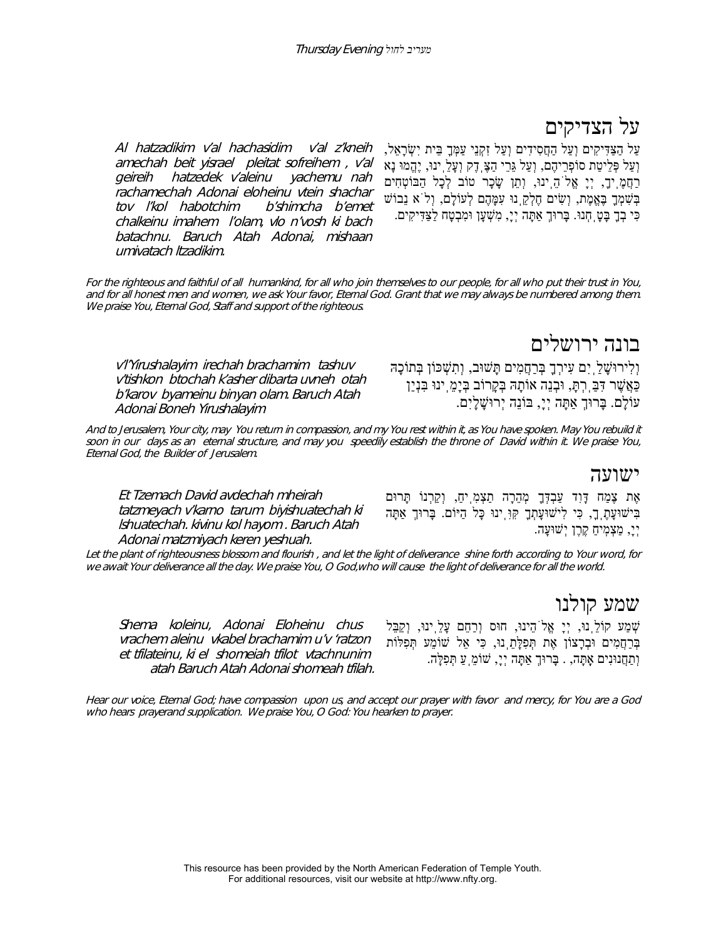# על הצדיקים

Al hatzadikim v'al hachasidim v'al z'kneih amechah beit yisrael pleitat sofreihem , v'al geireih hatzedek v'aleinu yachemu nah rachamechah Adonai eloheinu vtein shachar tov l'kol habotchim b'shimcha b'emet chalkeinu imahem l'olam, vlo n'vosh ki bach batachnu. Baruch Atah Adonai, mishaan umivatach ltzadikim. עַל הַצַּדִּיקִים וְעַל הַחֲסִידִים וְעַל זִקְנֵי עַמְּךָ בֵּית יִשְׂ רָאֵל, וְעַל פְּלֵיטַת סוֹפְרֵיהֶם, וְעַל גֵּרֵי הַצֶּֽדֶק וְעָלֵֽינוּ, יֶהֱמוּ נָא ּרַחֲמֶֽיךָ, יְיָ אֱלֹהֵ֥ינוּ, וְתֵן שָׂכָר טוֹב לְכָל הַבּוֹטְחִים בְּשִׁ מְךָ בֶּאֱמֶת, וְשִׂ ים חֶלְקֵֽנוּ עִמָּהֶם לְעוֹלָם, וְלֹא נֵבוֹשׁ

For the righteous and faithful of all humankind, for all who join themselves to our people, for all who put their trust in You, and for all honest men and women, we ask Your favor, Eternal God. Grant that we may always be numbered among them. We praise You, Eternal God, Staff and support of the righteous.

v'l'Yirushalayim irechah brachamim tashuv v'tishkon btochah k'asher dibarta uvneh otah b'karov byameinu binyan olam. Baruch Atah Adonai Boneh Yirushalayim

וְלִירוּשָׁ לַֽיִם עִירְךָ בְּרַחֲמִים תָּשׁוּב, וְתִשְׁ כּוֹן בְּתוֹכָהּ כַּאֲשֶׁ ר דִּבַּֽרְתּ,ָ וּבְנֵה אוֹתָהּ בְּקָרוֹב בְּיָמֵֽינוּ בִּנְיַן עוֹלָם. בָּרוּךְ אַתָּה יְי,ָ בּוֹנֵה יְרוּשָׁ לָיִם.

כִּי בְךָ בָּטָֽחְנוּ. בָּרוּךְ אַתָּה יְי,ָ מִשְׁ עָן וּמִבְטָח לַצַּדִּיקִים.

And to Jerusalem, Your city, may You return in compassion, and my You rest within it, as You have spoken. May You rebuild it soon in our days as an eternal structure, and may you speedily establish the throne of David within it. We praise You, Eternal God, the Builder of Jerusalem.

Et Tzemach David avdechah mheirah tatzmeyach v'karno tarum biyishuatechah ki lshuatechah. kivinu kol hayom . Baruch Atah Adonai matzmiyach keren yeshuah.

אֶת צֶמַח דָּוִד עַבְדְּךָ מְהֵרָה תַצְמִֽיח,ַ וְקַרְנוֹ תָּרוּם בִּישׁוּעָתֶֽך,ָ כִּי לִישׁוּעָתְךָ קִּוִּֽינוּ כָּל הַיּוֹם. בָּרוּךְ אַתָּה יְי,ָ מַצְמֽיחַ קֶרֶן יְשׁוּעָה.

Let the plant of righteousness blossom and flourish , and let the light of deliverance shine forth according to Your word, for we await Your deliverance all the day. We praise You, O God,who will cause the light of deliverance for all the world.

Shema koleinu, Adonai Eloheinu chus vrachem aleinu vkabel brachamim u'v 'ratzon et tfilateinu, ki el shomeiah tfilot vtachnunim atah Baruch Atah Adonai shomeah tfilah. שְׁ מַע קוֹלֵֽנוּ, יְיָ אֱלֹהֵינוּ, חוּס וְרַחֵם עָלֵֽינוּ, וְקַבֵּל בְּרַחֲמִים וּבְרָצוֹן אֶת תְּפִלָּתֵֽנוּ, כִּי אֵל שׁוֹמֵע תְּפִלּוֹת וְתַחֲנוּנִים אָֽתָּה, . בָּרוּךְ אַתָּה יְי,ָ שׁוֹמֵֽעַ תְּפִלָּה.

Hear our voice, Eternal God; have compassion upon us, and accept our prayer with favor and mercy, for You are a God who hears prayerand supplication. We praise You, O God: You hearken to prayer.

> This resource has been provided by the North American Federation of Temple Youth. For additional resources, visit our website at http://www.nfty.org.

ישועה

# שמע קולנו

בונה ירושלים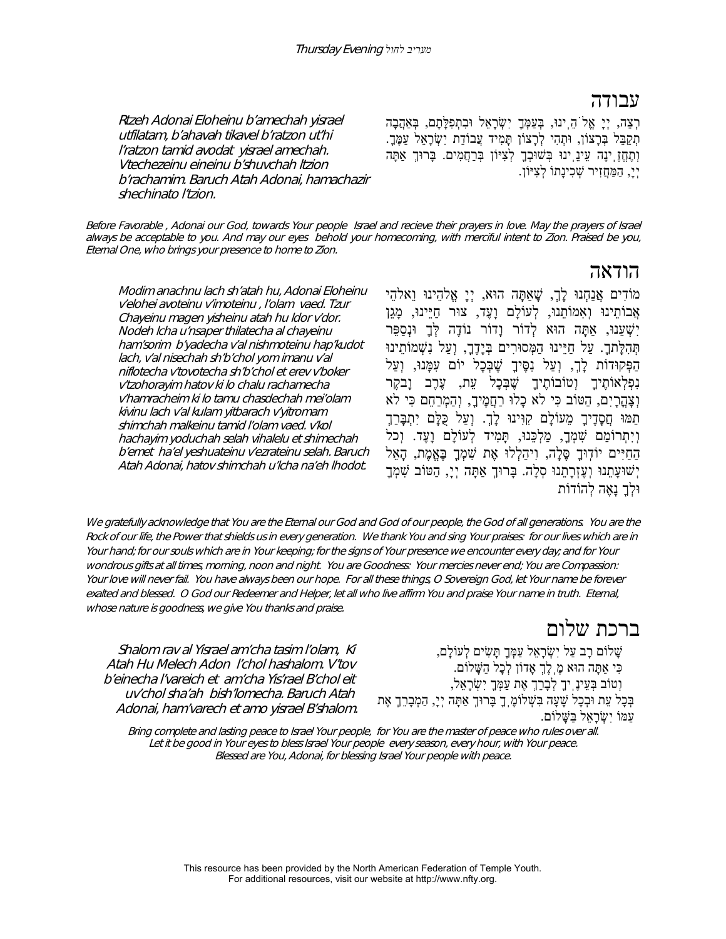#### עבודה

Rtzeh Adonai Eloheinu b'amechah yisrael utfilatam, b'ahavah tikavel b'ratzon ut'hi l'ratzon tamid avodat yisrael amechah. Vtechezeinu eineinu b'shuvchah ltzion b'rachamim. Baruch Atah Adonai, hamachazir shechinato l'tzion.

ּרְצֵה, יְיָ אֱלֹהֵ יִנוּ, בְּעַמְּךָ יִשְׂרָאֵל וּבִתְפִלָּתָם, בְּאַהֲבָה תִקַבֵּל בְּרָצוֹן, וּתְהִי לְרָצוֹן תָּמִיד עֲבוֹדַת יִשְׂרָאֵל עַמֶּךָ. וְתֶחֱזֶֽינָה עֵינֵֽינוּ בְּשׁוּבְךָ לְצִיּוֹן בְּרַחֲמִים. בָּרוּךְ אַתָּה יְי,ָ הַמַּחֲזִיר שְׁ כִינָתוֹ לְצִיּוֹן.

Before Favorable , Adonai our God, towards Your people Israel and recieve their prayers in love. May the prayers of Israel always be acceptable to you. And may our eyes behold your homecoming, with merciful intent to Zion. Praised be you, Eternal One, who brings your presence to home to Zion.

Modim anachnu lach sh'atah hu, Adonai Eloheinu v'elohei avoteinu v'imoteinu , l'olam vaed. Tzur Chayeinu magen yisheinu atah hu ldor v'dor. Nodeh lcha u'nsaper thilatecha al chayeinu ham'sorim b'yadecha v'al nishmoteinu hap'kudot lach, v'al nisechah sh'b'chol yom imanu v'al niflotecha v'tovotecha sh'b'chol et erev v'boker v'tzohorayim hatov ki lo chalu rachamecha v'hamracheim ki lo tamu chasdechah mei'olam kivinu lach v'al kulam yitbarach v'yitromam shimchah malkeinu tamid l'olam vaed. v'kol hachayim yoduchah selah vihalelu et shimechah b'emet ha'el yeshuateinu v'ezrateinu selah. Baruch Atah Adonai, hatov shimchah u'lcha na'eh lhodot.

#### הודאה

מוֹדִים אֲנַחְנוּ לָך,ְ שָׁ אַתָּה הוּא, יְיָ אֱלהֵינוּ וֵאלהֵי אֲבוֹתֵינוּ וְאִמוֹתֵנוּ, לְעוֹלָם וָעֶד, צוּר חַיֵּינוּ, מָגֵן יִשְׁ עֵנוּ, אַתָּה הוּא לְדוֹר וָדוֹר נוֹדֶה לְּךָ וּנְסַפֵּר תְּהִלָּתך.ָ עַל חַיֵּינוּ הַמְּסוּרִים בְּיָדֶך,ָ וְעַל נִשְׁמוֹתֵינוּ הַפְּקוּדוֹת לָך,ְ וְעַל נִסֶּיךָ שֶׁ בְּכָל יוֹם עִמָּנוּ, וְעַל נִפְלְאוֹתֵיךָ וְטוֹבוֹתֵיךָ *שֱׁבָּכָל עֵת, עֵרֵב* וַבקֵר וְצָהֳרָיִם, הַטּוֹב כִּי לא כָלוּ רַחֲמֶיך,ָ וְהַמְרַחֵם כִּי לא תַמּוּ חֲסָדֶיךָ מֵעוֹלָם קִוִּינוּ לָך.ְ וְעַל כֻּלָּם יִתְבָּרַךְ וְיִתְרוֹמַם שִׁ מְך,ָ מַלְכֵּנוּ, תָּמִיד לְעוֹלָם וָעֶד. וְכל הַחַיִּים יוֹדִוּךָ סֶּלָה, וִיהַלְלוּ אֶת שִׁמְךָ בָּאֱמֶת, הָאֵל יְשׁוּעֲתֵנוּ וְעֵזְרָתֵנוּ סָלָה. בַּרוּךְ אַתַּה יְיַ, הַטּוֹב שָׁמְךָ וּלְךָ נָאֶה לְהוֹדוֹת

We gratefully acknowledge that You are the Eternal our God and God of our people, the God of all generations. You are the Rock of our life, the Power that shields us in every generation. We thank You and sing Your praises: for our lives which are in Your hand; for our souls which are in Your keeping; for the signs of Your presence we encounter every day; and for Your wondrous gifts at all times, morning, noon and night. You are Goodness: Your mercies never end; You are Compassion: Your love will never fail. You have always been our hope. For all these things, O Sovereign God, let Your name be forever exalted and blessed. O God our Redeemer and Helper, let all who live affirm You and praise Your name in truth. Eternal, whose nature is goodness, we give You thanks and praise.

Shalom rav al Yisrael am'cha tasim l'olam, Ki Atah Hu Melech Adon l'chol hashalom. V'tov b'einecha l'vareich et am'cha Yis'rael B'chol eit uv'chol sha'ah bish'lomecha. Baruch Atah Adonai, ham'varech et amo yisrael B'shalom.

#### ברכת שלום

שָׁ לוֹם רָב עַל יִשְׂ רָאֵל עַמְּךָ תָּשִׂ ים לְעוֹלָם, כִּי אַתָּה הוּא מֶֽלֶךְ אָדוֹן לְכָל הַשָּׁ לוֹם. וְטוֹב בְּעֵינֶֽיךָ לְבָרֵךְ אֶת עַמְּךָ יִשְׂ רָאֵל, בְּכָל עֵת וּבְכָל שָׁ עָה בִּשְׁ לוֹמֶֽךָ בָּרוּךְ אַתָּה יְי,ָ הַמְבָרֵךְ אֶת עַמּוֹ יִשְׂ רָאֵל בַּשָּׁ לוֹם.

Bring complete and lasting peace to Israel Your people, for You are the master of peace who rules over all. Let it be good in Your eyes to bless Israel Your people every season, every hour, with Your peace. Blessed are You, Adonai, for blessing Israel Your people with peace.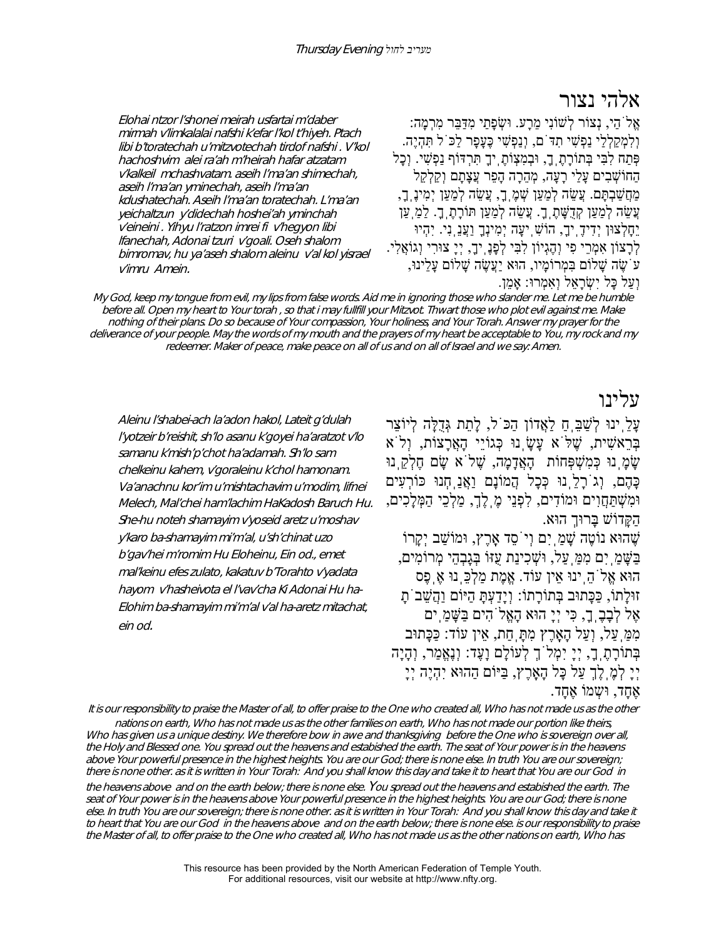#### אלהי נצור

Elohai ntzor l'shonei meirah usfartai m'daber mirmah v'limkalalai nafshi k'efar l'kol t'hiyeh. Ptach libi b'toratechah u'mitzvotechah tirdof nafshi . V'kol hachoshvim alei ra'ah m'heirah hafar atzatam v'kalkeil mchashvatam. aseih l'ma'an shimechah, aseih l'ma'an yminechah, aseih l'ma'an kdushatechah. Aseih l'ma'an toratechah. L'ma'an yeichaltzun y'didechah hoshei'ah yminchah v'eineini . Yihyu l'ratzon imrei fi v'hegyon libi lfanechah, Adonai tzuri v'goali. Oseh shalom bimromav, hu ya'aseh shalom aleinu v'al kol yisrael v'imru Amein.

אֵל<sup>ֹ</sup>הַי, נִצוֹר לְשׁוֹנִי מֵרָע. וּשְׂפָתַי מִדַּבֵּר מִרְמָה: וְלִמְקַלְלַי נַפְשִׁ י תִדֹּם, וְנַפְשִׁ י כֶּעָפָר לַכֹּל תִּהְיֶה. פְּתַח לִבִּי בְּתוֹרָתֶֽך,ָ וּבְמִצְוֹתֶֽיךָ תִּרְדּוֹף נַפְשִׁ י. וְכָל הַחוֹשְׁ בִים עָלַי רָעָה, מְהֵרָה הָפֵר עֲצָתָם וְקַלְקֵל מַחֲשַׁבְתָּם. עֲשֵׂה לְמַעַן שְׁמֶֽ ךָ, עֲשֵׂה לְמַעַן יְמִינֶ ךָ, עֲשֶׂה לְמַעַן קְדָשֶׁתֶ ךָָ. עֲשֵׂה לְמַעַן תּוֹרָתֶ ךָָ. לַמַּ עַן יֵחָלְצוּן יְדִידֶֽיך,ָ הוֹשִׁ ֽיעָה יְמִינְךָ וַעֲנֵֽנִי. יִהְיוּ לְרָצוֹן אִמְרֵי פִי וְהֶגְיוֹן לִבִּי לְפָנֶֽיך,ָ יְיָ צוּרִי וְגוֹאֲלִי. עֹשֶׂ ה שָׁ לוֹם בִּמְרוֹמָיו, הוּא יַעֲשֶׂ ה שָׁ לוֹם עָלֵינוּ, וְעַל כָּל יִשְׂ רָאֵל וְאִמְרוּ: אָמֵן.

My God, keep my tongue from evil, my lips from false words. Aid me in ignoring those who slander me. Let me be humble before all. Open my heart to Your torah , so that i may fullfill your Mitzvot. Thwart those who plot evil against me. Make nothing of their plans. Do so because of Your compassion, Your holiness, and Your Torah. Answer my prayer for the deliverance of your people. May the words of my mouth and the prayers of my heart be acceptable to You, my rock and my redeemer. Maker of peace, make peace on all of us and on all of Israel and we say: Amen.

#### עלינו

עַלֶ ינוּ לְשַׁבָּ חַ לַאֲדוֹן הַכֹּל, לַתֲת גְּדָלָה לְיוֹצֵר בְּרֵאשִׁ ית, שֶׁ לֹּא עָשָׂ ֽנוּ כְּגוֹיֵי הָאֲרָצוֹת, וְלֹא שָׂמָ נוּ כְּמִשְׁפְּחוֹת הָאֲדָמָה, שֶׁל<sup>ְי</sup>א שָׂם חֶלְקֵ נוּ כָּהֶם, וְגֹרָלֵֽנוּ כְּכָל הֲמוֹנָם וַאֲנַֽחְנוּ כּוֹרְעִים וּמִשְׁתַּחֲוִים וּמוֹדִים, לִפְנֵי מֶֽלֶךָ, מַלְכֵי הַמְּלָכִים, הַקָּדוֹשׁ בָּרוּךְ הוּא. שֶׁהוּא נוֹטֶה שָׁמַ<sup>ְ</sup>יִם וְיֹסֵד אַרֵץ, וּמוֹשַׁב יִקַרוֹ בַּשָּׁ מַֽיִם מִמַּֽעַל, וּשְׁ כִינַת עֻזּוֹ בְּגָבְהֵי מְרוֹמִים, הוּא אֱלֹהֵֽינוּ אֵין עוֹד. אֱמֶת מַלְכֵּֽנוּ אֶֽפֶס זוּלַתוֹ, כַּכָּתוּב בְּתוֹרָתוֹ: וְיַדַעָתַּ הַיּוֹם וַהֲשֵׁב<sup>ּי</sup>תַ אֶל לְבָבֶֽך,ָ כִּי יְיָ הוּא הָאֱלֹהִים בַּשָּׁ מַֽים

מִמַּֽעַל, וְעַל הָאָֽרֶץ מִתָּֽחַת, אֵין עוֹד: כַּכָּתוּב בְּתוֹרָתֶֽך,ָ יְיָ יִמְלֹךְ לְעוֹלָם וָעֶד: וְנֶאֱמַר, וְהָיָה יְיָ לְמֶֽלֶךְ עַל כָּל הָאָֽרֶץ, בַּיּוֹם הַהוּא יִהְיֶה יְיָ אֶחֶד, וּשָמוֹ אֶחֲד.

It is our responsibility to praise the Master of all, to offer praise to the One who created all, Who has not made us as the other nations on earth, Who has not made us as the other families on earth, Who has not made our portion like theirs, Who has given us a unique destiny. We therefore bow in awe and thanksgiving before the One who is sovereign over all, the Holy and Blessed one. You spread out the heavens and estabished the earth. The seat of Your power is in the heavens above Your powerful presence in the highest heights. You are our God; there is none else. In truth You are our sovereign; there is none other. as it is written in Your Torah: And you shall know this day and take it to heart that You are our God in the heavens above and on the earth below; there is none else. You spread out the heavens and estabished the earth. The seat of Your power is in the heavens above Your powerful presence in the highest heights. You are our God; there is none else. In truth You are our sovereign; there is none other. as it is written in Your Torah: And you shall know this day and take it to heart that You are our God in the heavens above and on the earth below; there is none else. is our responsibility to praise the Master of all, to offer praise to the One who created all, Who has not made us as the other nations on earth, Who has

> This resource has been provided by the North American Federation of Temple Youth. For additional resources, visit our website at http://www.nfty.org.

Aleinu l'shabei-ach la'adon hakol, Lateit g'dulah l'yotzeir b'reishit, sh'lo asanu k'goyei ha'aratzot v'lo samanu k'mish'p'chot ha'adamah. Sh'lo sam chelkeinu kahem, v'goraleinu k'chol hamonam. Va'anachnu kor'im u'mishtachavim u'modim, lifnei Melech, Mal'chei ham'lachim HaKadosh Baruch Hu. She-hu noteh shamayim v'yoseid aretz u'moshav y'karo ba-shamayim mi'm'al, <sup>u</sup>'sh'chinat uzo b'gav'hei m'romim Hu Eloheinu, Ein od., emet mal'keinu efes zulato, kakatuv b'Torahto v'yadata hayom v'hasheivota el l'vav'cha Ki Adonai Hu ha-Elohim ba-shamayim mi'm'al v'al ha-aretz mitachat, ein od.